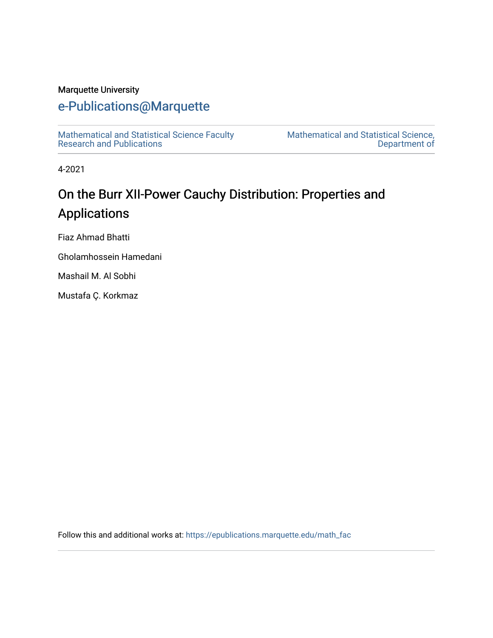# Marquette University

# [e-Publications@Marquette](https://epublications.marquette.edu/)

[Mathematical and Statistical Science Faculty](https://epublications.marquette.edu/math_fac)  [Research and Publications](https://epublications.marquette.edu/math_fac) 

[Mathematical and Statistical Science,](https://epublications.marquette.edu/math)  [Department of](https://epublications.marquette.edu/math) 

4-2021

# On the Burr XII-Power Cauchy Distribution: Properties and Applications

Fiaz Ahmad Bhatti

Gholamhossein Hamedani

Mashail M. Al Sobhi

Mustafa Ç. Korkmaz

Follow this and additional works at: [https://epublications.marquette.edu/math\\_fac](https://epublications.marquette.edu/math_fac?utm_source=epublications.marquette.edu%2Fmath_fac%2F71&utm_medium=PDF&utm_campaign=PDFCoverPages)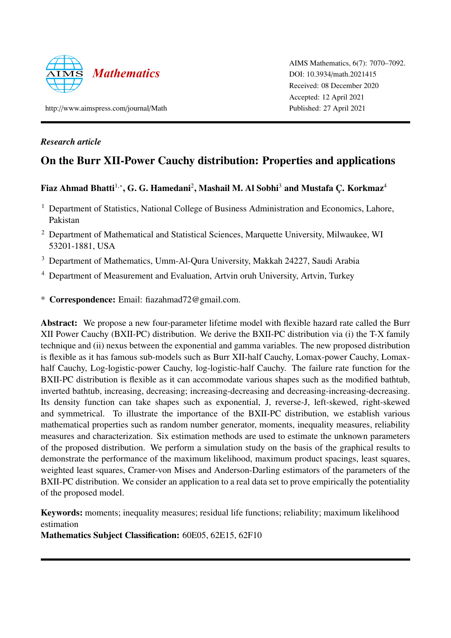

AIMS Mathematics, 6(7): 7070–7092. DOI: 10.3934/[math.2021415](http://dx.doi.org/ 10.3934/math.2021415) Received: 08 December 2020 Accepted: 12 April 2021 Published: 27 April 2021

http://[www.aimspress.com](http://www.aimspress.com/journal/Math)/journal/Math

# *Research article*

# On the Burr XII-Power Cauchy distribution: Properties and applications

# Fiaz Ahmad Bhatti $^{1,*}$ , G. G. Hamedani $^2$ , Mashail M. Al Sobhi $^3$  and Mustafa Ç. Korkmaz $^4$

- <sup>1</sup> Department of Statistics, National College of Business Administration and Economics, Lahore, Pakistan
- <sup>2</sup> Department of Mathematical and Statistical Sciences, Marquette University, Milwaukee, WI 53201-1881, USA
- <sup>3</sup> Department of Mathematics, Umm-Al-Qura University, Makkah 24227, Saudi Arabia
- <sup>4</sup> Department of Measurement and Evaluation, Artvin oruh University, Artvin, Turkey
- \* Correspondence: Email: fiazahmad72@gmail.com.

Abstract: We propose a new four-parameter lifetime model with flexible hazard rate called the Burr XII Power Cauchy (BXII-PC) distribution. We derive the BXII-PC distribution via (i) the T-X family technique and (ii) nexus between the exponential and gamma variables. The new proposed distribution is flexible as it has famous sub-models such as Burr XII-half Cauchy, Lomax-power Cauchy, Lomaxhalf Cauchy, Log-logistic-power Cauchy, log-logistic-half Cauchy. The failure rate function for the BXII-PC distribution is flexible as it can accommodate various shapes such as the modified bathtub, inverted bathtub, increasing, decreasing; increasing-decreasing and decreasing-increasing-decreasing. Its density function can take shapes such as exponential, J, reverse-J, left-skewed, right-skewed and symmetrical. To illustrate the importance of the BXII-PC distribution, we establish various mathematical properties such as random number generator, moments, inequality measures, reliability measures and characterization. Six estimation methods are used to estimate the unknown parameters of the proposed distribution. We perform a simulation study on the basis of the graphical results to demonstrate the performance of the maximum likelihood, maximum product spacings, least squares, weighted least squares, Cramer-von Mises and Anderson-Darling estimators of the parameters of the BXII-PC distribution. We consider an application to a real data set to prove empirically the potentiality of the proposed model.

Keywords: moments; inequality measures; residual life functions; reliability; maximum likelihood estimation

Mathematics Subject Classification: 60E05, 62E15, 62F10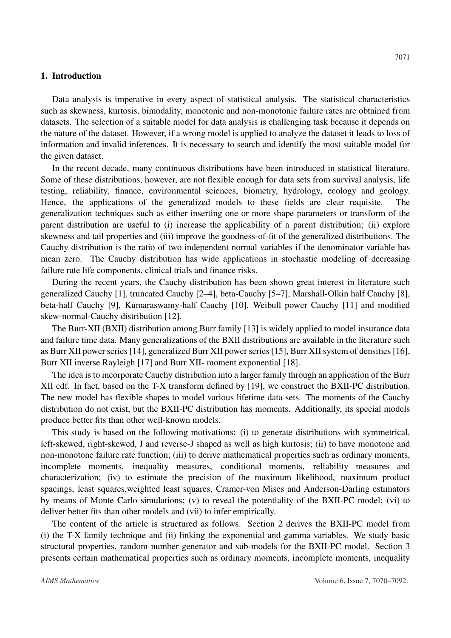#### 1. Introduction

Data analysis is imperative in every aspect of statistical analysis. The statistical characteristics such as skewness, kurtosis, bimodality, monotonic and non-monotonic failure rates are obtained from datasets. The selection of a suitable model for data analysis is challenging task because it depends on the nature of the dataset. However, if a wrong model is applied to analyze the dataset it leads to loss of information and invalid inferences. It is necessary to search and identify the most suitable model for the given dataset.

In the recent decade, many continuous distributions have been introduced in statistical literature. Some of these distributions, however, are not flexible enough for data sets from survival analysis, life testing, reliability, finance, environmental sciences, biometry, hydrology, ecology and geology. Hence, the applications of the generalized models to these fields are clear requisite. The generalization techniques such as either inserting one or more shape parameters or transform of the parent distribution are useful to (i) increase the applicability of a parent distribution; (ii) explore skewness and tail properties and (iii) improve the goodness-of-fit of the generalized distributions. The Cauchy distribution is the ratio of two independent normal variables if the denominator variable has mean zero. The Cauchy distribution has wide applications in stochastic modeling of decreasing failure rate life components, clinical trials and finance risks.

During the recent years, the Cauchy distribution has been shown great interest in literature such generalized Cauchy [\[1\]](#page-22-0), truncated Cauchy [\[2–](#page-22-1)[4\]](#page-22-2), beta-Cauchy [\[5](#page-22-3)[–7\]](#page-22-4), Marshall-Olkin half Cauchy [\[8\]](#page-22-5), beta-half Cauchy [\[9\]](#page-22-6), Kumaraswamy-half Cauchy [\[10\]](#page-22-7), Weibull power Cauchy [\[11\]](#page-22-8) and modified skew-normal-Cauchy distribution [\[12\]](#page-22-9).

The Burr-XII (BXII) distribution among Burr family [\[13\]](#page-22-10) is widely applied to model insurance data and failure time data. Many generalizations of the BXII distributions are available in the literature such as Burr XII power series [\[14\]](#page-22-11), generalized Burr XII power series [\[15\]](#page-22-12), Burr XII system of densities [\[16\]](#page-22-13), Burr XII inverse Rayleigh [\[17\]](#page-22-14) and Burr XII- moment exponential [\[18\]](#page-22-15).

The idea is to incorporate Cauchy distribution into a larger family through an application of the Burr XII cdf. In fact, based on the T-X transform defined by [\[19\]](#page-22-16), we construct the BXII-PC distribution. The new model has flexible shapes to model various lifetime data sets. The moments of the Cauchy distribution do not exist, but the BXII-PC distribution has moments. Additionally, its special models produce better fits than other well-known models.

This study is based on the following motivations: (i) to generate distributions with symmetrical, left-skewed, right-skewed, J and reverse-J shaped as well as high kurtosis; (ii) to have monotone and non-monotone failure rate function; (iii) to derive mathematical properties such as ordinary moments, incomplete moments, inequality measures, conditional moments, reliability measures and characterization; (iv) to estimate the precision of the maximum likelihood, maximum product spacings, least squares,weighted least squares, Cramer-von Mises and Anderson-Darling estimators by means of Monte Carlo simulations; (v) to reveal the potentiality of the BXII-PC model; (vi) to deliver better fits than other models and (vii) to infer empirically.

The content of the article is structured as follows. Section 2 derives the BXII-PC model from (i) the T-X family technique and (ii) linking the exponential and gamma variables. We study basic structural properties, random number generator and sub-models for the BXII-PC model. Section 3 presents certain mathematical properties such as ordinary moments, incomplete moments, inequality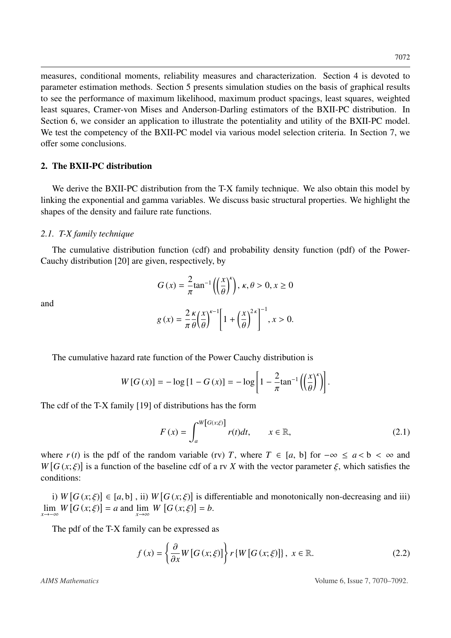measures, conditional moments, reliability measures and characterization. Section 4 is devoted to parameter estimation methods. Section 5 presents simulation studies on the basis of graphical results to see the performance of maximum likelihood, maximum product spacings, least squares, weighted least squares, Cramer-von Mises and Anderson-Darling estimators of the BXII-PC distribution. In Section 6, we consider an application to illustrate the potentiality and utility of the BXII-PC model. We test the competency of the BXII-PC model via various model selection criteria. In Section 7, we offer some conclusions.

# 2. The BXII-PC distribution

We derive the BXII-PC distribution from the T-X family technique. We also obtain this model by linking the exponential and gamma variables. We discuss basic structural properties. We highlight the shapes of the density and failure rate functions.

## *2.1. T-X family technique*

The cumulative distribution function (cdf) and probability density function (pdf) of the Power-Cauchy distribution [\[20\]](#page-23-0) are given, respectively, by

and

$$
G(x) = \frac{2}{\pi} \tan^{-1} \left( \left( \frac{x}{\theta} \right)^k \right), \ \kappa, \theta > 0, \ x \ge 0
$$

$$
g(x) = \frac{2\kappa}{\pi} \frac{\kappa}{\theta} \left(\frac{x}{\theta}\right)^{\kappa - 1} \left[1 + \left(\frac{x}{\theta}\right)^{2\kappa}\right]^{-1}, x > 0.
$$

The cumulative hazard rate function of the Power Cauchy distribution is

$$
W[G(x)] = -\log[1 - G(x)] = -\log\left[1 - \frac{2}{\pi}\tan^{-1}\left(\left(\frac{x}{\theta}\right)^{k}\right)\right].
$$

The cdf of the T-X family [\[19\]](#page-22-16) of distributions has the form

$$
F(x) = \int_{a}^{W[G(x;\xi)]} r(t)dt, \qquad x \in \mathbb{R},
$$
\n(2.1)

where  $r(t)$  is the pdf of the random variable (rv) *T*, where  $T \in [a, b]$  for  $-\infty \le a < b < \infty$  and  $W[G(x;\xi)]$  is a function of the baseline cdf of a rv *X* with the vector parameter  $\xi$ , which satisfies the conditions: conditions:

i)  $W[G(x;\xi)] \in [a,b]$ , ii)  $W[G(x;\xi)]$  is differentiable and monotonically non-decreasing and iii)<br>n  $W[G(x;\xi)] = a$  and  $\lim_{x \to a} W[G(x;\xi)] = b$  $\lim_{x \to -\infty} W[G(x; \xi)] = a$  and  $\lim_{x \to \infty} W[G(x; \xi)] = b$ .

The pdf of the T-X family can be expressed as

$$
f(x) = \left\{ \frac{\partial}{\partial x} W \left[ G \left( x; \xi \right) \right] \right\} r \left\{ W \left[ G \left( x; \xi \right) \right] \right\}, \ x \in \mathbb{R}.
$$
 (2.2)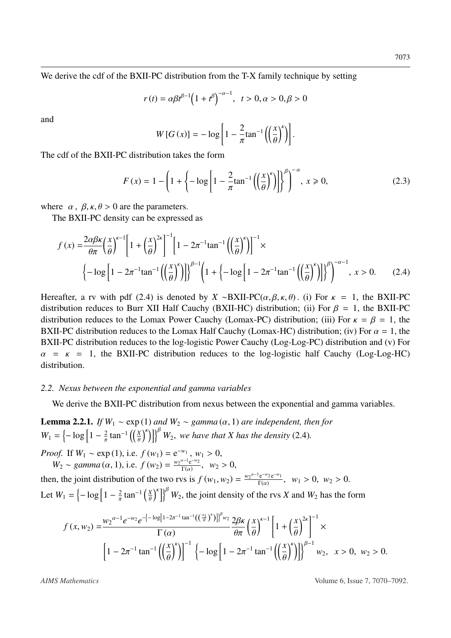We derive the cdf of the BXII-PC distribution from the T-X family technique by setting

$$
r(t) = \alpha \beta t^{\beta - 1} \left( 1 + t^{\beta} \right)^{-\alpha - 1}, \quad t > 0, \alpha > 0, \beta > 0
$$

and

<span id="page-4-0"></span>
$$
W[G(x)] = -\log\left[1 - \frac{2}{\pi} \tan^{-1} \left(\left(\frac{x}{\theta}\right)^{k}\right)\right].
$$

The cdf of the BXII-PC distribution takes the form

$$
F(x) = 1 - \left(1 + \left\{-\log\left[1 - \frac{2}{\pi} \tan^{-1}\left(\left(\frac{x}{\theta}\right)^{\kappa}\right)\right]\right\}^{\beta}\right)^{-\alpha}, \ x \geq 0, \tag{2.3}
$$

where  $\alpha$ ,  $\beta$ ,  $\kappa$ ,  $\theta$  > 0 are the parameters.

The BXII-PC density can be expressed as

$$
f(x) = \frac{2\alpha\beta\kappa}{\theta\pi} \left(\frac{x}{\theta}\right)^{\kappa-1} \left[1 + \left(\frac{x}{\theta}\right)^{2\kappa}\right]^{-1} \left[1 - 2\pi^{-1}\tan^{-1}\left(\left(\frac{x}{\theta}\right)^{\kappa}\right)\right]^{-1} \times
$$
  

$$
\left\{-\log\left[1 - 2\pi^{-1}\tan^{-1}\left(\left(\frac{x}{\theta}\right)^{\kappa}\right)\right]\right\}^{\beta-1} \left(1 + \left\{-\log\left[1 - 2\pi^{-1}\tan^{-1}\left(\left(\frac{x}{\theta}\right)^{\kappa}\right)\right]\right\}^{\beta}\right)^{-\alpha-1}, x > 0. \tag{2.4}
$$

Hereafter, a rv with pdf [\(2.4\)](#page-4-0) is denoted by *X* ∼BXII-PC( $\alpha, \beta, \kappa, \theta$ ). (i) For  $\kappa = 1$ , the BXII-PC distribution reduces to Burr XII Half Cauchy (BXII-HC) distribution; (ii) For  $\beta = 1$ , the BXII-PC distribution reduces to the Lomax Power Cauchy (Lomax-PC) distribution; (iii) For  $\kappa = \beta = 1$ , the BXII-PC distribution reduces to the Lomax Half Cauchy (Lomax-HC) distribution; (iv) For  $\alpha = 1$ , the BXII-PC distribution reduces to the log-logistic Power Cauchy (Log-Log-PC) distribution and (v) For  $\alpha$  =  $\kappa$  = 1, the BXII-PC distribution reduces to the log-logistic half Cauchy (Log-Log-HC) distribution.

#### *2.2. Nexus between the exponential and gamma variables*

We derive the BXII-PC distribution from nexus between the exponential and gamma variables.

**Lemma 2.2.1.** *If*  $W_1 \sim \exp(1)$  *and*  $W_2 \sim gamma(\alpha, 1)$  *are independent, then for*  $W_1 = \left\{-\log \left[1 - \frac{2}{\pi} \tan^{-1}\left(\left(\frac{X}{\theta}\right)^k\right)\right]\right\}^B W_2$ , we have that *X* has the density [\(2.4\)](#page-4-0)*.* π θ

*Proof.* If  $W_1 \sim \exp(1)$ , i.e.  $f(w_1) = e^{-w_1}$ ,  $w_1 > 0$ ,<br>*W<sub>2</sub>* as gamma ( $\alpha$ , 1) i.e.  $f(w_1) = \frac{w_2^{\alpha-1}e^{-w_2}}{w_1^{\alpha-1}}$  $W_2 \sim \text{gamma}(\alpha, 1), \text{ i.e. } f(w_2) = \frac{w_2^{\alpha-1} e^{-w_2}}{\Gamma(\alpha)}$  $\frac{W_1 \cdot W_2}{\Gamma(\alpha)}$ ,  $W_2 > 0$ ,

then, the joint distribution of the two rvs is  $f(w_1, w_2) = \frac{w_2^{\alpha-1} e^{-w_2} e^{-w_1}}{\Gamma(\alpha)}$ ,  $w_1 > 0$ ,  $w_2 > 0$ .  $\Gamma(\alpha)$ Let  $W_1 = \frac{1}{\log 1 - \frac{2}{\pi}}$ tan<sup>-1</sup>  $\left(\frac{X}{\theta}\right)$  $\int_{0}^{k}$   $W_2$ , the joint density of the rvs *X* and  $W_2$  has the form

$$
f(x, w_2) = \frac{w_2^{\alpha - 1} e^{-w_2} e^{-\left(-\log\left[1 - 2\pi^{-1} \tan^{-1}\left(\left(\frac{x_1}{\theta}\right)^k\right)\right]\right)^{\beta_{w_2}} 2\beta \kappa}}{\Gamma(\alpha)} \frac{2\beta \kappa}{\theta \pi} \left(\frac{x}{\theta}\right)^{\kappa - 1} \left[1 + \left(\frac{x}{\theta}\right)^{2\kappa}\right]^{-1} \times \left[1 - 2\pi^{-1} \tan^{-1}\left(\left(\frac{x}{\theta}\right)^{\kappa}\right)\right]^{-1} \left\{-\log\left[1 - 2\pi^{-1} \tan^{-1}\left(\left(\frac{x}{\theta}\right)^{\kappa}\right)\right]\right\}^{\beta - 1} w_2, \quad x > 0, \ w_2 > 0.
$$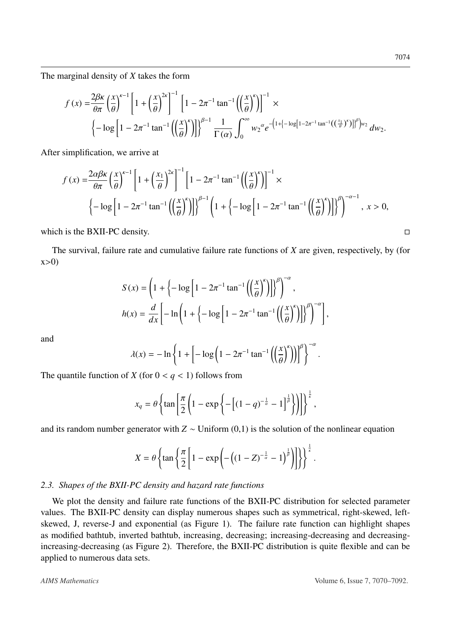The marginal density of *X* takes the form

$$
f(x) = \frac{2\beta\kappa}{\theta\pi} \left(\frac{x}{\theta}\right)^{\kappa-1} \left[1 + \left(\frac{x}{\theta}\right)^{2\kappa}\right]^{-1} \left[1 - 2\pi^{-1}\tan^{-1}\left(\left(\frac{x}{\theta}\right)^{\kappa}\right)\right]^{-1} \times \left\{-\log\left[1 - 2\pi^{-1}\tan^{-1}\left(\left(\frac{x}{\theta}\right)^{\kappa}\right)\right]\right\}^{\beta-1} \frac{1}{\Gamma(\alpha)} \int_0^\infty w_2^{\alpha} e^{-\left(1 + \left[-\log\left[1 - 2\pi^{-1}\tan^{-1}\left(\left(\frac{x_1}{\theta}\right)^{\kappa}\right)\right]\right)^{\beta}\right)w_2} dw_2.
$$

After simplification, we arrive at

$$
f(x) = \frac{2\alpha\beta\kappa}{\theta\pi} \left(\frac{x}{\theta}\right)^{\kappa-1} \left[1 + \left(\frac{x_1}{\theta}\right)^{2\kappa}\right]^{-1} \left[1 - 2\pi^{-1}\tan^{-1}\left(\left(\frac{x}{\theta}\right)^{\kappa}\right)\right]^{-1} \times
$$
  

$$
\left\{-\log\left[1 - 2\pi^{-1}\tan^{-1}\left(\left(\frac{x}{\theta}\right)^{\kappa}\right)\right]\right\}^{\beta-1} \left(1 + \left\{-\log\left[1 - 2\pi^{-1}\tan^{-1}\left(\left(\frac{x}{\theta}\right)^{\kappa}\right)\right]\right\}^{\beta}\right)^{-\alpha-1}, x > 0,
$$

which is the BXII-PC density.  $\Box$ 

The survival, failure rate and cumulative failure rate functions of *X* are given, respectively, by (for  $x>0$ 

$$
S(x) = \left(1 + \left\{-\log\left[1 - 2\pi^{-1}\tan^{-1}\left(\left(\frac{x}{\theta}\right)^{k}\right)\right]\right\}^{\beta}\right)^{-\alpha},
$$

$$
h(x) = \frac{d}{dx}\left[-\ln\left(1 + \left\{-\log\left[1 - 2\pi^{-1}\tan^{-1}\left(\left(\frac{x}{\theta}\right)^{k}\right)\right]\right\}^{\beta}\right)^{-\alpha}\right],
$$

and

$$
\lambda(x) = -\ln\left\{1 + \left[-\log\left(1 - 2\pi^{-1}\tan^{-1}\left(\left(\frac{x}{\theta}\right)^{k}\right)\right)\right]^{\beta}\right\}^{-\alpha}.
$$

The quantile function of *X* (for  $0 < q < 1$ ) follows from

$$
x_q = \theta \left\{ \tan \left[ \frac{\pi}{2} \left( 1 - \exp \left\{ - \left[ (1 - q)^{-\frac{1}{\alpha}} - 1 \right]^{\frac{1}{\beta}} \right\} \right) \right] \right\}^{\frac{1}{\alpha}},
$$

and its random number generator with  $Z \sim$  Uniform (0,1) is the solution of the nonlinear equation

$$
X = \theta \left\{ \tan \left\{ \frac{\pi}{2} \left[ 1 - \exp \left( -\left( (1-Z)^{-\frac{1}{\alpha}} - 1 \right)^{\frac{1}{\beta}} \right) \right] \right\} \right\}^{\frac{1}{\alpha}}.
$$

#### *2.3. Shapes of the BXII-PC density and hazard rate functions*

We plot the density and failure rate functions of the BXII-PC distribution for selected parameter values. The BXII-PC density can display numerous shapes such as symmetrical, right-skewed, leftskewed, J, reverse-J and exponential (as Figure [1\)](#page-6-0). The failure rate function can highlight shapes as modified bathtub, inverted bathtub, increasing, decreasing; increasing-decreasing and decreasingincreasing-decreasing (as Figure [2\)](#page-6-1). Therefore, the BXII-PC distribution is quite flexible and can be applied to numerous data sets.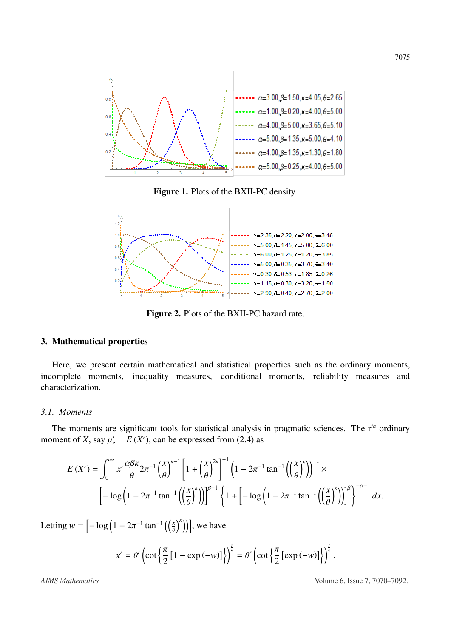<span id="page-6-0"></span>

Figure 1. Plots of the BXII-PC density.

<span id="page-6-1"></span>

Figure 2. Plots of the BXII-PC hazard rate.

#### 3. Mathematical properties

Here, we present certain mathematical and statistical properties such as the ordinary moments, incomplete moments, inequality measures, conditional moments, reliability measures and characterization.

# *3.1. Moments*

The moments are significant tools for statistical analysis in pragmatic sciences. The r*th* ordinary moment of *X*, say  $\mu'_r = E(X^r)$ , can be expressed from [\(2.4\)](#page-4-0) as

$$
E(X^r) = \int_0^\infty x^r \frac{\alpha \beta \kappa}{\theta} 2\pi^{-1} \left(\frac{x}{\theta}\right)^{\kappa-1} \left[1 + \left(\frac{x}{\theta}\right)^{2\kappa}\right]^{-1} \left(1 - 2\pi^{-1} \tan^{-1} \left(\left(\frac{x}{\theta}\right)^{\kappa}\right)\right)^{-1} \times
$$

$$
\left[-\log\left(1 - 2\pi^{-1} \tan^{-1} \left(\left(\frac{x}{\theta}\right)^{\kappa}\right)\right)\right]^{\beta-1} \left\{1 + \left[-\log\left(1 - 2\pi^{-1} \tan^{-1} \left(\left(\frac{x}{\theta}\right)^{\kappa}\right)\right)\right]^{\beta}\right\}^{-\alpha-1} dx.
$$

Letting  $w = \left[ -\log \left( 1 - 2\pi^{-1} \tan^{-1} \left( \left( \frac{x}{\theta} \right)^k \right) \right) \right]$ , we have

$$
x^{r} = \theta^{r} \left( \cot \left\{ \frac{\pi}{2} \left[ 1 - \exp(-w) \right] \right\} \right)^{\frac{r}{k}} = \theta^{r} \left( \cot \left\{ \frac{\pi}{2} \left[ \exp(-w) \right] \right\} \right)^{\frac{r}{k}}
$$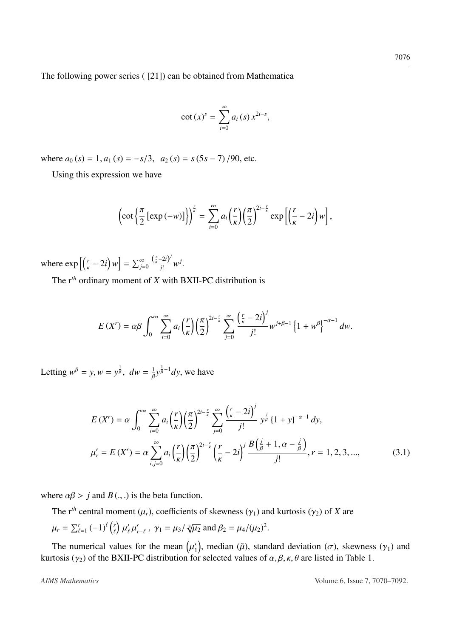The following power series ( [\[21\]](#page-23-1)) can be obtained from Mathematica

$$
\cot\left(x\right)^s=\sum_{i=0}^\infty a_i\left(s\right)x^{2i-s},
$$

where  $a_0$  (*s*) = 1,  $a_1$  (*s*) =  $-s/3$ ,  $a_2$  (*s*) =  $s(5s - 7)/90$ , etc.

Using this expression we have

$$
\left(\cot\left\{\frac{\pi}{2}\left[\exp\left(-w\right)\right]\right\}\right)^{\frac{r}{\kappa}}=\sum_{i=0}^{\infty}a_i\left(\frac{r}{\kappa}\right)\left(\frac{\pi}{2}\right)^{2i-\frac{r}{\kappa}}\exp\left[\left(\frac{r}{\kappa}-2i\right)w\right],
$$

where  $\exp\left[\left(\frac{r}{\kappa} - 2i\right)w\right] = \sum_{j=0}^{\infty}$  $\left(\frac{r}{\kappa}\right)$  $\frac{\sum_{k}^{i} -2i}{i!}$  $\frac{2ij}{j!}w^j$ .

The r*th* ordinary moment of *X* with BXII-PC distribution is

$$
E(X^r) = \alpha \beta \int_0^\infty \sum_{i=0}^\infty a_i \left(\frac{r}{\kappa}\right) \left(\frac{\pi}{2}\right)^{2i-\frac{r}{\kappa}} \sum_{j=0}^\infty \frac{\left(\frac{r}{\kappa}-2i\right)^j}{j!} w^{j+\beta-1} \left\{1+w^\beta\right\}^{-\alpha-1} dw.
$$

Letting  $w^{\beta} = y, w = y^{\frac{1}{\beta}}$  $\frac{1}{\beta}$ ,  $dw = \frac{1}{\beta}$ β  $y^{\frac{1}{\beta}}$  $\frac{1}{\beta}-1$ *dy*, we have

$$
E(X^{r}) = \alpha \int_{0}^{\infty} \sum_{i=0}^{\infty} a_{i} \left(\frac{r}{\kappa}\right) \left(\frac{\pi}{2}\right)^{2i-\frac{r}{\kappa}} \sum_{j=0}^{\infty} \frac{\left(\frac{r}{\kappa} - 2i\right)^{j}}{j!} y^{\frac{j}{\beta}} \left\{1 + y\right\}^{-\alpha - 1} dy,
$$
  

$$
\mu_{r}^{\prime} = E(X^{r}) = \alpha \sum_{i,j=0}^{\infty} a_{i} \left(\frac{r}{\kappa}\right) \left(\frac{\pi}{2}\right)^{2i-\frac{r}{\kappa}} \left(\frac{r}{\kappa} - 2i\right)^{j} \frac{B\left(\frac{j}{\beta} + 1, \alpha - \frac{j}{\beta}\right)}{j!}, r = 1, 2, 3, ..., \tag{3.1}
$$

where  $\alpha\beta > j$  and  $B(.,.)$  is the beta function.

The r<sup>th</sup> central moment ( $\mu_r$ ), coefficients of skewness ( $\gamma_1$ ) and kurtosis ( $\gamma_2$ ) of *X* are  $\mu_r = \sum_{\ell}^r$  $\int_{\ell=1}^{r} (-1)^{\ell} \binom{r}{\ell}$  $\mathbf{r}$  $\overline{\phantom{0}}$  $\mathbf{r}$  $\overline{\phantom{0}}$  $\gamma'_{r-\ell}$ ,  $\gamma_1 = \mu_3/$ √3  $\overline{\mu_2}$  and  $\beta_2 = \mu_4 / (\mu_2)^2$ .

The numerical values for the mean  $(\mu_1)$ kurtosis (γ<sub>2</sub>) of the BXII-PC distribution for selected values of  $\alpha, \beta, \kappa, \theta$  are listed in Table [1.](#page-8-0) <sup>'</sup><sub>1</sub>), median ( $\tilde{\mu}$ ), standard deviation ( $\sigma$ ), skewness (γ<sub>1</sub>) and  $\alpha$  selected values of  $\alpha$   $\beta$   $\kappa$  θ are listed in Table 1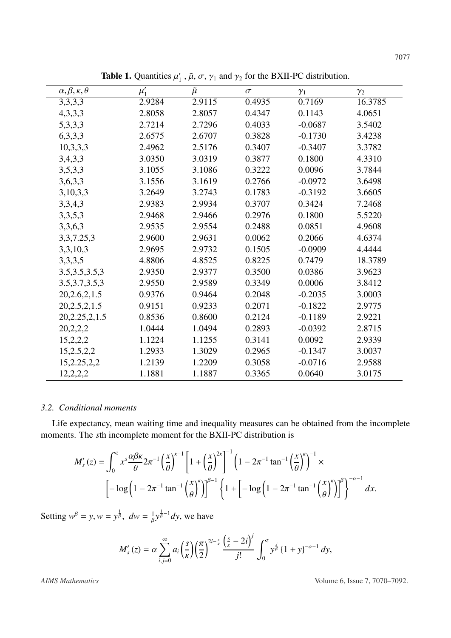<span id="page-8-0"></span>

| <b>Table 1.</b> Quantities $\mu'_1$ , $\tilde{\mu}$ , $\sigma$ , $\gamma_1$ and $\gamma_2$ for the BXII-PC distribution. |          |               |          |            |            |
|--------------------------------------------------------------------------------------------------------------------------|----------|---------------|----------|------------|------------|
| $\alpha, \beta, \kappa, \theta$                                                                                          | $\mu_1'$ | $\tilde{\mu}$ | $\sigma$ | $\gamma_1$ | $\gamma_2$ |
| 3,3,3,3                                                                                                                  | 2.9284   | 2.9115        | 0.4935   | 0.7169     | 16.3785    |
| 4,3,3,3                                                                                                                  | 2.8058   | 2.8057        | 0.4347   | 0.1143     | 4.0651     |
| 5,3,3,3                                                                                                                  | 2.7214   | 2.7296        | 0.4033   | $-0.0687$  | 3.5402     |
| 6,3,3,3                                                                                                                  | 2.6575   | 2.6707        | 0.3828   | $-0.1730$  | 3.4238     |
| 10,3,3,3                                                                                                                 | 2.4962   | 2.5176        | 0.3407   | $-0.3407$  | 3.3782     |
| 3,4,3,3                                                                                                                  | 3.0350   | 3.0319        | 0.3877   | 0.1800     | 4.3310     |
| 3,5,3,3                                                                                                                  | 3.1055   | 3.1086        | 0.3222   | 0.0096     | 3.7844     |
| 3,6,3,3                                                                                                                  | 3.1556   | 3.1619        | 0.2766   | $-0.0972$  | 3.6498     |
| 3,10,3,3                                                                                                                 | 3.2649   | 3.2743        | 0.1783   | $-0.3192$  | 3.6605     |
| 3,3,4,3                                                                                                                  | 2.9383   | 2.9934        | 0.3707   | 0.3424     | 7.2468     |
| 3,3,5,3                                                                                                                  | 2.9468   | 2.9466        | 0.2976   | 0.1800     | 5.5220     |
| 3,3,6,3                                                                                                                  | 2.9535   | 2.9554        | 0.2488   | 0.0851     | 4.9608     |
| 3, 3, 7. 25, 3                                                                                                           | 2.9600   | 2.9631        | 0.0062   | 0.2066     | 4.6374     |
| 3,3,10,3                                                                                                                 | 2.9695   | 2.9732        | 0.1505   | $-0.0909$  | 4.4444     |
| 3,3,3,5                                                                                                                  | 4.8806   | 4.8525        | 0.8225   | 0.7479     | 18.3789    |
| 3.5, 3.5, 3.5, 3                                                                                                         | 2.9350   | 2.9377        | 0.3500   | 0.0386     | 3.9623     |
| 3.5, 3.7, 3.5, 3                                                                                                         | 2.9550   | 2.9589        | 0.3349   | 0.0006     | 3.8412     |
| 20,2.6,2,1.5                                                                                                             | 0.9376   | 0.9464        | 0.2048   | $-0.2035$  | 3.0003     |
| 20,2.5,2,1.5                                                                                                             | 0.9151   | 0.9233        | 0.2071   | $-0.1822$  | 2.9775     |
| 20,2.25,2,1.5                                                                                                            | 0.8536   | 0.8600        | 0.2124   | $-0.1189$  | 2.9221     |
| 20,2,2,2                                                                                                                 | 1.0444   | 1.0494        | 0.2893   | $-0.0392$  | 2.8715     |
| 15,2,2,2                                                                                                                 | 1.1224   | 1.1255        | 0.3141   | 0.0092     | 2.9339     |
| 15,2.5,2.2                                                                                                               | 1.2933   | 1.3029        | 0.2965   | $-0.1347$  | 3.0037     |
| 15,2.25,2,2                                                                                                              | 1.2139   | 1.2209        | 0.3058   | $-0.0716$  | 2.9588     |
| 12,2,2,2                                                                                                                 | 1.1881   | 1.1887        | 0.3365   | 0.0640     | 3.0175     |

 $\overline{\phantom{0}}$ 

## *3.2. Conditional moments*

Life expectancy, mean waiting time and inequality measures can be obtained from the incomplete moments. The *s*th incomplete moment for the BXII-PC distribution is

$$
M'_{s}(z) = \int_0^z x^s \frac{\alpha \beta \kappa}{\theta} 2\pi^{-1} \left(\frac{x}{\theta}\right)^{\kappa - 1} \left[1 + \left(\frac{x}{\theta}\right)^{2\kappa}\right]^{-1} \left(1 - 2\pi^{-1} \tan^{-1} \left(\frac{x}{\theta}\right)^{\kappa}\right)^{-1} \times
$$

$$
\left[-\log\left(1 - 2\pi^{-1} \tan^{-1} \left(\frac{x}{\theta}\right)^{\kappa}\right)\right]^{\beta - 1} \left\{1 + \left[-\log\left(1 - 2\pi^{-1} \tan^{-1} \left(\frac{x}{\theta}\right)^{\kappa}\right)\right]^{\beta}\right\}^{-\alpha - 1} dx.
$$

Setting  $w^{\beta} = y, w = y^{\frac{1}{\beta}}$  $\frac{1}{\beta}$ ,  $dw = \frac{1}{\beta}$ Γ  $y^{\frac{1}{\beta}}$  $\frac{1}{\beta}-1$ *dy*, we have

$$
M'_{s}(z) = \alpha \sum_{i,j=0}^{\infty} a_{i} \left(\frac{s}{\kappa}\right) \left(\frac{\pi}{2}\right)^{2i-\frac{s}{\kappa}} \frac{\left(\frac{s}{\kappa}-2i\right)^{j}}{j!} \int_{0}^{z} y^{\frac{j}{\beta}} \left\{1+y\right\}^{-\alpha-1} dy,
$$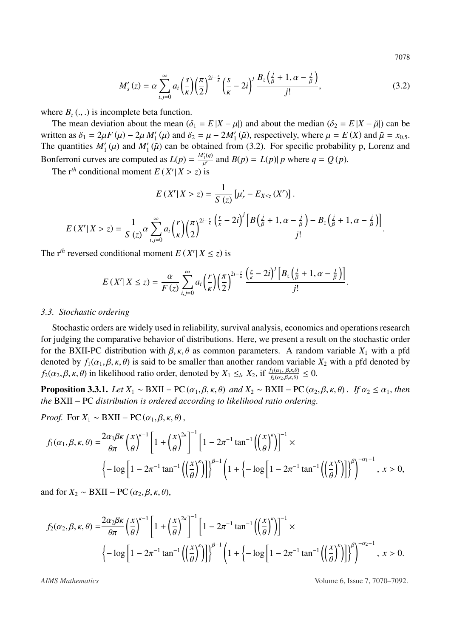<span id="page-9-0"></span>7078

$$
M'_{s}(z) = \alpha \sum_{i,j=0}^{\infty} a_{i} \left(\frac{s}{\kappa}\right) \left(\frac{\pi}{2}\right)^{2i-\frac{s}{\kappa}} \left(\frac{s}{\kappa} - 2i\right)^{j} \frac{B_{z}\left(\frac{j}{\beta} + 1, \alpha - \frac{j}{\beta}\right)}{j!},\tag{3.2}
$$

where  $B_z$  (., .) is incomplete beta function.

The mean deviation about the mean  $(\delta_1 = E |X - \mu|)$  and about the median  $(\delta_2 = E |X - \tilde{\mu}|)$  can be written as  $\delta_1 = 2\mu F(\mu) - 2\mu M'_1(\mu)$  and  $\delta_2 = \mu - 2M'_1(\tilde{\mu})$ , respectively, where  $\mu = E(X)$  and  $\tilde{\mu} = x_{0.5}$ .<br>The quantities  $M'(\mu)$  and  $M'(\tilde{\mu})$  can be obtained from (3.2). For specific probability p. Lorenz and The quantities  $M'_1(\mu)$  and  $M'_1(\tilde{\mu})$  can be obtained from [\(3.2\)](#page-9-0). For specific probability p, Lorenz and  $R_1(\mu)$  and  $M'_1(q)$  and  $R(\mu)$ ,  $M'_2(q)$  and  $R'_3(q)$ Bonferroni curves are computed as  $L(p) = \frac{M_1'(q)}{p'}$  and  $B(p) = L(p)|p$  where  $q = Q(p)$ .

The  $r^{th}$  conditional moment  $E(X^r | X > z)$  is

$$
E(X^r|X > z) = \frac{1}{S(z)} \left[ \mu'_r - E_{X \leq z}(X^r) \right].
$$

$$
E\left(X^r|X>z\right)=\frac{1}{S\left(z\right)}\alpha\sum_{i,j=0}^{\infty}a_i\left(\frac{r}{\kappa}\right)\left(\frac{\pi}{2}\right)^{2i-\frac{r}{\kappa}}\frac{\left(\frac{r}{\kappa}-2i\right)^j\left[B\left(\frac{j}{\beta}+1,\alpha-\frac{j}{\beta}\right)-B_z\left(\frac{j}{\beta}+1,\alpha-\frac{j}{\beta}\right)\right]}{j!}
$$

The r<sup>th</sup> reversed conditional moment  $E(X^r | X \le z)$  is

$$
E(X'|X \le z) = \frac{\alpha}{F(z)} \sum_{i,j=0}^{\infty} a_i \left(\frac{r}{\kappa}\right) \left(\frac{\pi}{2}\right)^{2i-\frac{r}{\kappa}} \frac{\left(\frac{r}{\kappa}-2i\right)^j \left[B_z\left(\frac{j}{\beta}+1, \alpha-\frac{j}{\beta}\right)\right]}{j!}.
$$

#### *3.3. Stochastic ordering*

Stochastic orders are widely used in reliability, survival analysis, economics and operations research for judging the comparative behavior of distributions. Here, we present a result on the stochastic order for the BXII-PC distribution with β, κ, θ as common parameters. A random variable *<sup>X</sup>*<sup>1</sup> with a pfd denoted by  $f_1(\alpha_1, \beta, \kappa, \theta)$  is said to be smaller than another random variable  $X_2$  with a pfd denoted by  $f_2(\alpha_2, \beta, \kappa, \theta)$  in likelihood ratio order, denoted by  $X_1 \leq_{lr} X_2$ , if  $\frac{f_1(\alpha_1, \beta, \kappa, \theta)}{f_2(\alpha_2, \beta, \kappa, \theta)} \leq 0$ .

**Proposition 3.3.1.** *Let*  $X_1 \sim BXII - PC(\alpha_1, \beta, \kappa, \theta)$  *and*  $X_2 \sim BXII - PC(\alpha_2, \beta, \kappa, \theta)$ . *If*  $\alpha_2 \leq \alpha_1$ *, then the* BXII − PC *distribution is ordered according to likelihood ratio ordering.*

*Proof.* For  $X_1 \sim BXII - PC(\alpha_1, \beta, \kappa, \theta)$ ,

$$
f_1(\alpha_1, \beta, \kappa, \theta) = \frac{2\alpha_1 \beta \kappa}{\theta \pi} \left(\frac{x}{\theta}\right)^{\kappa - 1} \left[1 + \left(\frac{x}{\theta}\right)^{2\kappa}\right]^{-1} \left[1 - 2\pi^{-1} \tan^{-1}\left(\left(\frac{x}{\theta}\right)^{\kappa}\right)\right]^{-1} \times
$$
  

$$
\left\{-\log\left[1 - 2\pi^{-1} \tan^{-1}\left(\left(\frac{x}{\theta}\right)^{\kappa}\right)\right]\right\}^{\beta - 1} \left(1 + \left\{-\log\left[1 - 2\pi^{-1} \tan^{-1}\left(\left(\frac{x}{\theta}\right)^{\kappa}\right)\right]\right\}^{\beta}\right)^{-\alpha_1 - 1}, \ x > 0,
$$

and for  $X_2 \sim BXII - PC(\alpha_2, \beta, \kappa, \theta)$ ,

$$
f_2(\alpha_2, \beta, \kappa, \theta) = \frac{2\alpha_2 \beta \kappa}{\theta \pi} \left(\frac{x}{\theta}\right)^{\kappa - 1} \left[1 + \left(\frac{x}{\theta}\right)^{2\kappa}\right]^{-1} \left[1 - 2\pi^{-1} \tan^{-1}\left(\left(\frac{x}{\theta}\right)^{\kappa}\right)\right]^{-1} \times
$$
  

$$
\left\{-\log\left[1 - 2\pi^{-1} \tan^{-1}\left(\left(\frac{x}{\theta}\right)^{\kappa}\right)\right]\right\}^{\beta - 1} \left(1 + \left\{-\log\left[1 - 2\pi^{-1} \tan^{-1}\left(\left(\frac{x}{\theta}\right)^{\kappa}\right)\right]\right\}^{\beta}\right)^{-\alpha_2 - 1}, \ x > 0.
$$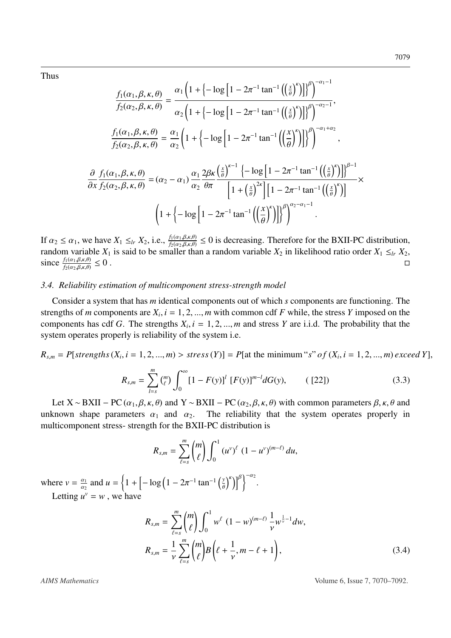Thus

$$
\frac{f_1(\alpha_1, \beta, \kappa, \theta)}{f_2(\alpha_2, \beta, \kappa, \theta)} = \frac{\alpha_1 \left(1 + \left\{-\log\left[1 - 2\pi^{-1} \tan^{-1}\left(\left(\frac{x}{\theta}\right)^{\kappa}\right]\right]\right)^{\beta}\right)^{-\alpha_1 - 1}}{\alpha_2 \left(1 + \left\{-\log\left[1 - 2\pi^{-1} \tan^{-1}\left(\left(\frac{x}{\theta}\right)^{\kappa}\right]\right]\right)^{\beta}\right)^{-\alpha_2 - 1}},
$$
\n
$$
\frac{f_1(\alpha_1, \beta, \kappa, \theta)}{f_2(\alpha_2, \beta, \kappa, \theta)} = \frac{\alpha_1}{\alpha_2} \left(1 + \left\{-\log\left[1 - 2\pi^{-1} \tan^{-1}\left(\left(\frac{x}{\theta}\right)^{\kappa}\right]\right]\right)^{\beta}\right)^{-\alpha_1 + \alpha_2}},
$$
\n
$$
\frac{\partial}{\partial x} \frac{f_1(\alpha_1, \beta, \kappa, \theta)}{f_2(\alpha_2, \beta, \kappa, \theta)} = (\alpha_2 - \alpha_1) \frac{\alpha_1}{\alpha_2} \frac{2\beta \kappa}{\theta \pi} \frac{\left(\frac{x}{\theta}\right)^{\kappa - 1} \left\{-\log\left[1 - 2\pi^{-1} \tan^{-1}\left(\left(\frac{x}{\theta}\right)^{\kappa}\right]\right]\right)^{\beta - 1}}{\left[1 + \left(\frac{x}{\theta}\right)^{2\kappa}\right] \left[1 - 2\pi^{-1} \tan^{-1}\left(\left(\frac{x}{\theta}\right)^{\kappa}\right)\right]^{\beta}} \times
$$
\n
$$
\left(1 + \left\{-\log\left[1 - 2\pi^{-1} \tan^{-1}\left(\left(\frac{x}{\theta}\right)^{\kappa}\right]\right]\right)^{\beta} \right)^{\alpha_2 - \alpha_1 - 1}.
$$

If  $\alpha_2 \le \alpha_1$ , we have  $X_1 \le_{lr} X_2$ , i.e.,  $\frac{f_1(\alpha_1,\beta,\kappa,\theta)}{f_2(\alpha_2,\beta,\kappa,\theta)} \le 0$  is decreasing. Therefore for the BXII-PC distribution,<br>random variable *Y*<sub>c</sub> is said to be smaller than a random variable *Y*<sub>c</sub> in l random variable  $X_1$  is said to be smaller than a random variable  $X_2$  in likelihood ratio order  $X_1 \leq_{lr} X_2$ , since  $\frac{f_1(\alpha_1,\beta,\kappa,\theta)}{f_2(\alpha_2,\beta,\kappa,\theta)}$  $f_2(\alpha_2,\beta,\kappa,\theta)$  $\leq 0$  .

## *3.4. Reliability estimation of multicomponent stress-strength model*

Consider a system that has *m* identical components out of which *s* components are functioning. The strengths of *m* components are  $X_i$ ,  $i = 1, 2, ..., m$  with common cdf *F* while, the stress *Y* imposed on the components has cdf *G*. The strengths *Y*,  $i = 1, 2, ..., m$  and stress *Y* are i.i.d. The probability that the components has cdf *G*. The strengths  $X_i$ ,  $i = 1, 2, ..., m$  and stress *Y* are i.i.d. The probability that the system operates properly is reliability of the system i.e. system operates properly is reliability of the system i.e.

# $R_{s,m} = P[strengths(X_i, i = 1, 2, ..., m) > stress(Y)] = P[at the minimum "s" of (X_i, i = 1, 2, ..., m) exceed Y],$

$$
R_{s,m} = \sum_{l=s}^{m} \binom{m}{l} \int_0^{\infty} [1 - F(y)]^l [F(y)]^{m-l} dG(y), \qquad (22]) \tag{3.3}
$$

Let  $X \sim BXII - PC(\alpha_1, \beta, \kappa, \theta)$  and  $Y \sim BXII - PC(\alpha_2, \beta, \kappa, \theta)$  with common parameters  $\beta, \kappa, \theta$  and unknown shape parameters  $\alpha_1$  and  $\alpha_2$ . The reliability that the system operates properly in multicomponent stress- strength for the BXII-PC distribution is

$$
R_{s,m} = \sum_{\ell=s}^{m} {m \choose \ell} \int_0^1 (u^v)^{\ell} (1-u^v)^{(m-\ell)} du,
$$

where  $v = \frac{\alpha_1}{\alpha_2}$  $\alpha_2$ <sup>1</sup> and  $u = \left\{ 1 + \left[ -\log \left( 1 - 2\pi^{-1} \tan^{-1} \left( \frac{y}{\theta} \right) \right) \right] \right\}$  $\binom{\kappa}{\kappa}$ Letting  $u^v = w$ , we have

<span id="page-10-0"></span>
$$
R_{s,m} = \sum_{\ell=s}^{m} {m \choose \ell} \int_0^1 w^{\ell} (1-w)^{(m-\ell)} \frac{1}{\nu} w^{\frac{1}{\nu}-1} dw,
$$
  

$$
R_{s,m} = \frac{1}{\nu} \sum_{\ell=s}^{m} {m \choose \ell} B\left(\ell + \frac{1}{\nu}, m-\ell+1\right),
$$
 (3.4)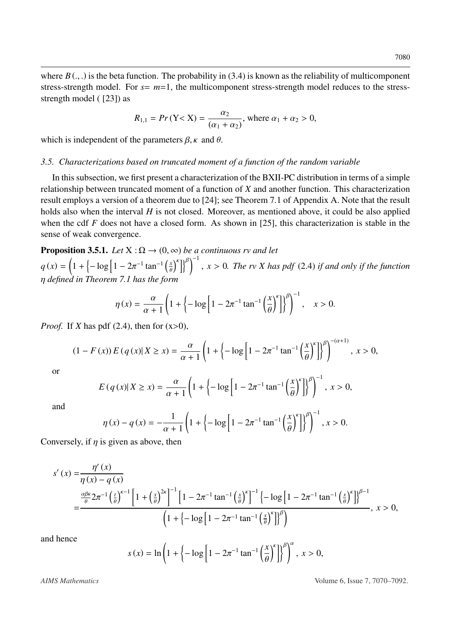where  $B(.)$ , is the beta function. The probability in [\(3.4\)](#page-10-0) is known as the reliability of multicomponent stress-strength model. For  $s = m=1$ , the multicomponent stress-strength model reduces to the stressstrength model ( [\[23\]](#page-23-3)) as

$$
R_{1,1} = Pr(Y < X) = \frac{\alpha_2}{(\alpha_1 + \alpha_2)}
$$
, where  $\alpha_1 + \alpha_2 > 0$ ,

which is independent of the parameters  $\beta$ ,  $\kappa$  and  $\theta$ .

#### *3.5. Characterizations based on truncated moment of a function of the random variable*

In this subsection, we first present a characterization of the BXII-PC distribution in terms of a simple relationship between truncated moment of a function of *X* and another function. This characterization result employs a version of a theorem due to [\[24\]](#page-23-4); see Theorem [7.1](#page-21-0) of Appendix A. Note that the result holds also when the interval *H* is not closed. Moreover, as mentioned above, it could be also applied when the cdf *F* does not have a closed form. As shown in [\[25\]](#page-23-5), this characterization is stable in the sense of weak convergence.

<span id="page-11-0"></span>**Proposition 3.5.1.** *Let*  $X : \Omega \to (0, \infty)$  *be a continuous rv and let*  $q(x) = \left(1 + \left(-\log\left[1 - 2\pi^{-1} \tan^{-1}\left(\frac{x}{\theta}\right)\right]\right)\right)$  $\binom{K}{k}$ , *<sup>x</sup>* > <sup>0</sup>*. The rv X has pdf* [\(2.4\)](#page-4-0) *if and only if the function* η *defined in Theorem [7.1](#page-21-0) has the form*

$$
\eta(x) = \frac{\alpha}{\alpha + 1} \left( 1 + \left\{ -\log \left[ 1 - 2\pi^{-1} \tan^{-1} \left( \frac{x}{\theta} \right)^{k} \right] \right\}^{\beta} \right)^{-1}, \quad x > 0.
$$

*Proof.* If *X* has pdf [\(2.4\)](#page-4-0), then for  $(x>0)$ ,

$$
(1 - F(x)) E(q(x) | X \ge x) = \frac{\alpha}{\alpha + 1} \left( 1 + \left\{ -\log \left[ 1 - 2\pi^{-1} \tan^{-1} \left( \frac{x}{\theta} \right)^k \right] \right\}^{\beta} \right)^{-(\alpha + 1)}, x > 0,
$$

or

$$
E(q(x)|X\geq x) = \frac{\alpha}{\alpha+1}\left(1+\left\{-\log\left[1-2\pi^{-1}\tan^{-1}\left(\frac{x}{\theta}\right)^{k}\right]\right\}^{\beta}\right)^{-1}, x>0,
$$

and

$$
\eta(x) - q(x) = -\frac{1}{\alpha + 1} \left( 1 + \left\{ -\log \left[ 1 - 2\pi^{-1} \tan^{-1} \left( \frac{x}{\theta} \right)^{k} \right] \right\}^{\beta} \right)^{-1}, x > 0.
$$

Conversely, if  $\eta$  is given as above, then

$$
s'(x) = \frac{\eta'(x)}{\eta(x) - q(x)}
$$
  
= 
$$
\frac{\frac{\alpha\beta\kappa}{\theta}2\pi^{-1}(\frac{t}{\theta})^{\kappa-1}\left[1 + \left(\frac{x}{\theta}\right)^{2\kappa}\right]^{-1}\left[1 - 2\pi^{-1}\tan^{-1}\left(\frac{x}{\theta}\right)^{\kappa}\right]^{-1}\left\{-\log\left[1 - 2\pi^{-1}\tan^{-1}\left(\frac{x}{\theta}\right)^{\kappa}\right]\right\}^{\beta-1}}{\left(1 + \left\{-\log\left[1 - 2\pi^{-1}\tan^{-1}\left(\frac{x}{\theta}\right)^{\kappa}\right]\right\}^{\beta}\right)}, x > 0,
$$

and hence

$$
s(x) = \ln\left(1 + \left(-\log\left[1 - 2\pi^{-1} \tan^{-1}\left(\frac{x}{\theta}\right)^{k}\right]\right)^{\beta}\right)^{\alpha}, \ x > 0,
$$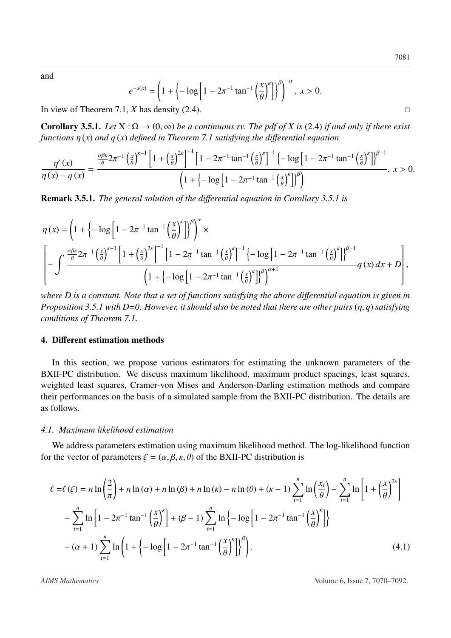and

$$
e^{-s(x)} = \left(1 + \left\{-\log\left[1 - 2\pi^{-1}\tan^{-1}\left(\frac{x}{\theta}\right)^{k}\right]\right\}^{\beta}\right)^{-\alpha}, \ x > 0.
$$

In view of Theorem [7.1,](#page-21-0) *X* has density [\(2.4\)](#page-4-0).

<span id="page-12-0"></span>**Corollary 3.5.1.** *Let*  $X : \Omega \to (0, \infty)$  *be a continuous rv. The pdf of X is* [\(2.4\)](#page-4-0) *if and only if there exist functions* η (*x*) *and q* (*x*) *defined in Theorem [7.1](#page-21-0) satisfying the di*ff*erential equation*

$$
\frac{\eta'(x)}{\eta(x)-q(x)} = \frac{\frac{\alpha\beta\kappa}{\theta}2\pi^{-1}\left(\frac{x}{\theta}\right)^{\kappa-1}\left[1+\left(\frac{x}{\theta}\right)^{2\kappa}\right]^{-1}\left[1-2\pi^{-1}\tan^{-1}\left(\frac{x}{\theta}\right)^{\kappa}\right]^{-1}\left\{-\log\left[1-2\pi^{-1}\tan^{-1}\left(\frac{x}{\theta}\right)^{\kappa}\right]\right\}^{\beta-1}}{\left(1+\left\{-\log\left[1-2\pi^{-1}\tan^{-1}\left(\frac{x}{\theta}\right)^{\kappa}\right]\right\}^{\beta}\right)},\ x>0.
$$

Remark 3.5.1. *The general solution of the di*ff*erential equation in Corollary [3.5.1](#page-12-0) is*

$$
\eta(x) = \left(1 + \left\{-\log\left[1 - 2\pi^{-1}\tan^{-1}\left(\frac{x}{\theta}\right)^{\kappa}\right]\right\}^{\beta}\right)^{\alpha} \times \left[-\int \frac{\frac{\alpha\beta\kappa}{\theta}2\pi^{-1}\left(\frac{x}{\theta}\right)^{\kappa-1}\left[1 + \left(\frac{x}{\theta}\right)^{2\kappa}\right]^{-1}\left[1 - 2\pi^{-1}\tan^{-1}\left(\frac{x}{\theta}\right)^{\kappa}\right]^{-1}\left\{-\log\left[1 - 2\pi^{-1}\tan^{-1}\left(\frac{x}{\theta}\right)^{\kappa}\right]\right\}^{\beta-1}}{1 + \left\{-\log\left[1 - 2\pi^{-1}\tan^{-1}\left(\frac{x}{\theta}\right)^{\kappa}\right]\right\}^{\beta} \right\}^{\alpha+1}} q(x) dx + D\right],
$$

*where D is a constant. Note that a set of functions satisfying the above differential equation is given in Proposition [3.5.1](#page-11-0) with D*=*0. However, it should also be noted that there are other pairs* (η, *<sup>q</sup>*) *satisfying conditions of Theorem [7.1.](#page-21-0)*

## 4. Different estimation methods

In this section, we propose various estimators for estimating the unknown parameters of the BXII-PC distribution. We discuss maximum likelihood, maximum product spacings, least squares, weighted least squares, Cramer-von Mises and Anderson-Darling estimation methods and compare their performances on the basis of a simulated sample from the BXII-PC distribution. The details are as follows.

#### *4.1. Maximum likelihood estimation*

We address parameters estimation using maximum likelihood method. The log-likelihood function for the vector of parameters  $\xi = (\alpha, \beta, \kappa, \theta)$  of the BXII-PC distribution is

<span id="page-12-1"></span>
$$
\ell = \ell(\xi) = n \ln\left(\frac{2}{\pi}\right) + n \ln(\alpha) + n \ln(\beta) + n \ln(\kappa) - n \ln(\theta) + (\kappa - 1) \sum_{i=1}^{n} \ln\left(\frac{x_i}{\theta}\right) - \sum_{i=1}^{n} \ln\left[1 + \left(\frac{x}{\theta}\right)^{2\kappa}\right]
$$

$$
- \sum_{i=1}^{n} \ln\left[1 - 2\pi^{-1}\tan^{-1}\left(\frac{x}{\theta}\right)^{\kappa}\right] + (\beta - 1) \sum_{i=1}^{n} \ln\left\{-\log\left[1 - 2\pi^{-1}\tan^{-1}\left(\frac{x}{\theta}\right)^{\kappa}\right]\right\}
$$

$$
-(\alpha + 1) \sum_{i=1}^{n} \ln\left(1 + \left\{-\log\left[1 - 2\pi^{-1}\tan^{-1}\left(\frac{x}{\theta}\right)^{\kappa}\right]\right\}^{\beta}\right). \tag{4.1}
$$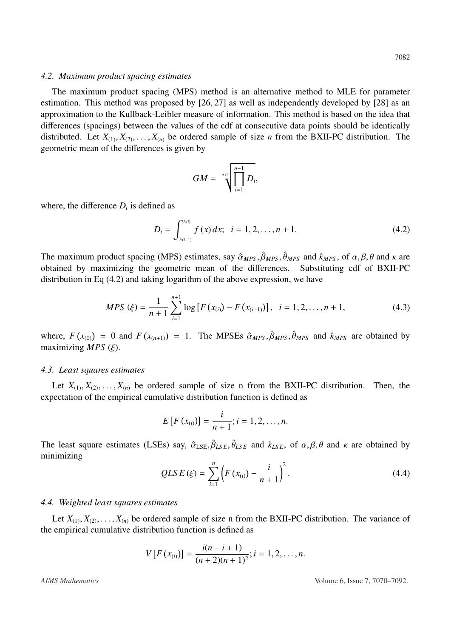#### *4.2. Maximum product spacing estimates*

The maximum product spacing (MPS) method is an alternative method to MLE for parameter estimation. This method was proposed by [\[26,](#page-23-6) [27\]](#page-23-7) as well as independently developed by [\[28\]](#page-23-8) as an approximation to the Kullback-Leibler measure of information. This method is based on the idea that differences (spacings) between the values of the cdf at consecutive data points should be identically distributed. Let  $X_{(1)}, X_{(2)}, \ldots, X_{(n)}$  be ordered sample of size *n* from the BXII-PC distribution. The geometric mean of the differences is given by

$$
GM = \sqrt[n+1]{\prod_{i=1}^{n+1} D_i},
$$

where, the difference  $D_i$  is defined as

<span id="page-13-0"></span>
$$
D_i = \int_{x_{(i-1)}}^{x_{(i)}} f(x) dx; \quad i = 1, 2, \dots, n+1.
$$
 (4.2)

The maximum product spacing (MPS) estimates, say  $\hat{\alpha}_{MPS}, \hat{\beta}_{MPS}, \hat{\theta}_{MPS}$  and  $\hat{\kappa}_{MPS}$ , of  $\alpha, \beta, \theta$  and  $\kappa$  are obtained by maximizing the geometric mean of the differences. Substituting cdf of BXII-PC distribution in Eq [\(4.2\)](#page-13-0) and taking logarithm of the above expression, we have

$$
MPS\left(\xi\right) = \frac{1}{n+1} \sum_{i=1}^{n+1} \log \left[ F\left(x_{(i)}\right) - F\left(x_{(i-1)}\right) \right], \quad i = 1, 2, \dots, n+1,\tag{4.3}
$$

where,  $F(x_{(0)}) = 0$  and  $F(x_{(n+1)}) = 1$ . The MPSEs  $\hat{\alpha}_{MPS}, \hat{\beta}_{MPS}, \hat{\theta}_{MPS}$  and  $\hat{\kappa}_{MPS}$  are obtained by maximizing *MPS* ( $\hat{\epsilon}$ ) maximizing  $MPS$  ( $\xi$ ).

#### *4.3. Least squares estimates*

Let  $X_{(1)}, X_{(2)}, \ldots, X_{(n)}$  be ordered sample of size n from the BXII-PC distribution. Then, the expectation of the empirical cumulative distribution function is defined as

$$
E[F(x_{(i)})] = \frac{i}{n+1}; i = 1, 2, ..., n.
$$

The least square estimates (LSEs) say,  $\hat{\alpha}_{LSE}, \hat{\beta}_{LSE}, \hat{\theta}_{LSE}$  and  $\hat{\kappa}_{LSE}$ , of  $\alpha, \beta, \theta$  and  $\kappa$  are obtained by minimizing minimizing

$$
QLSE(\xi) = \sum_{i=1}^{n} \left( F(x_{(i)}) - \frac{i}{n+1} \right)^2.
$$
 (4.4)

#### *4.4. Weighted least squares estimates*

Let  $X_{(1)}, X_{(2)}, \ldots, X_{(n)}$  be ordered sample of size n from the BXII-PC distribution. The variance of the empirical cumulative distribution function is defined as

$$
V[F(x_{(i)})] = \frac{i(n-i+1)}{(n+2)(n+1)^2}; i = 1, 2, ..., n.
$$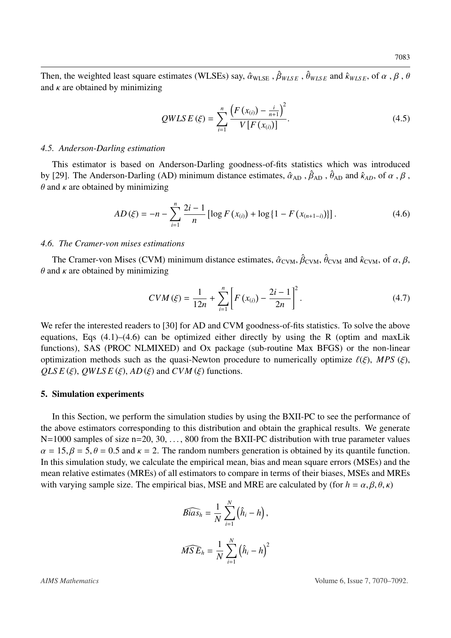Then, the weighted least square estimates (WLSEs) say,  $\hat{\alpha}_{WLSE}$ ,  $\hat{\beta}_{WLSE}$ ,  $\hat{\theta}_{WLSE}$  and  $\hat{\kappa}_{WLSE}$ , of  $\alpha$ ,  $\beta$ ,  $\theta$ and  $\kappa$  are obtained by minimizing

$$
QWLS E(\xi) = \sum_{i=1}^{n} \frac{\left( F(x_{(i)}) - \frac{i}{n+1} \right)^2}{V[F(x_{(i)})]}.
$$
\n(4.5)

#### *4.5. Anderson-Darling estimation*

This estimator is based on Anderson-Darling goodness-of-fits statistics which was introduced by [\[29\]](#page-23-9). The Anderson-Darling (AD) minimum distance estimates,  $\hat{\alpha}_{AD}$ ,  $\hat{\beta}_{AD}$ ,  $\hat{\theta}_{AD}$  and  $\hat{\kappa}_{AD}$ , of  $\alpha$ ,  $\beta$ ,  $\theta$  and  $\kappa$  are obtained by minimizing

<span id="page-14-0"></span>
$$
AD(\xi) = -n - \sum_{i=1}^{n} \frac{2i-1}{n} \left[ \log F(x_{(i)}) + \log \left\{ 1 - F(x_{(n+1-i)}) \right\} \right]. \tag{4.6}
$$

### *4.6. The Cramer-von mises estimations*

The Cramer-von Mises (CVM) minimum distance estimates,  $\hat{\alpha}_{\text{CVM}}$ ,  $\hat{\beta}_{\text{CVM}}$ ,  $\hat{\theta}_{\text{CVM}}$  and  $\hat{\kappa}_{\text{CVM}}$ , of  $\alpha$ ,  $\beta$ , nd  $\kappa$  are obtained by minimizing  $\theta$  and  $\kappa$  are obtained by minimizing

$$
CVM(\xi) = \frac{1}{12n} + \sum_{i=1}^{n} \left[ F(x_{(i)}) - \frac{2i-1}{2n} \right]^2.
$$
 (4.7)

We refer the interested readers to [\[30\]](#page-23-10) for AD and CVM goodness-of-fits statistics. To solve the above equations, Eqs  $(4.1)$ – $(4.6)$  can be optimized either directly by using the R (optim and maxLik functions), SAS (PROC NLMIXED) and Ox package (sub-routine Max BFGS) or the non-linear optimization methods such as the quasi-Newton procedure to numerically optimize  $\ell(\xi)$ , *MPS* ( $\xi$ ),  $QLSE(\xi)$ ,  $QWLSE(\xi)$ ,  $AD(\xi)$  and  $CVM(\xi)$  functions.

#### 5. Simulation experiments

In this Section, we perform the simulation studies by using the BXII-PC to see the performance of the above estimators corresponding to this distribution and obtain the graphical results. We generate N=1000 samples of size n=20, 30, ..., 800 from the BXII-PC distribution with true parameter values  $\alpha = 15$ ,  $\beta = 5$ ,  $\theta = 0.5$  and  $\kappa = 2$ . The random numbers generation is obtained by its quantile function. In this simulation study, we calculate the empirical mean, bias and mean square errors (MSEs) and the mean relative estimates (MREs) of all estimators to compare in terms of their biases, MSEs and MREs with varying sample size. The empirical bias, MSE and MRE are calculated by (for  $h = \alpha, \beta, \theta, \kappa$ )

$$
\widehat{Bias}_h = \frac{1}{N} \sum_{i=1}^N (\hat{h}_i - h),
$$

$$
\widehat{MSE}_h = \frac{1}{N} \sum_{i=1}^N (\hat{h}_i - h)^2
$$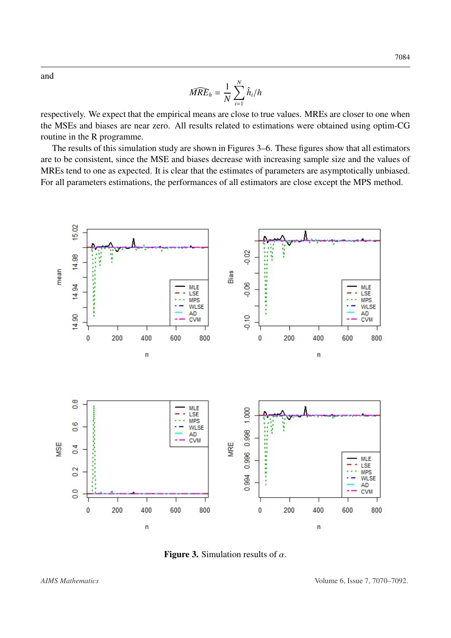and

$$
\widehat{MRE}_h = \frac{1}{N} \sum_{i=1}^N \hat{h}_i / h
$$

respectively. We expect that the empirical means are close to true values. MREs are closer to one when the MSEs and biases are near zero. All results related to estimations were obtained using optim-CG routine in the R programme.

The results of this simulation study are shown in Figures [3–](#page-15-0)[6.](#page-18-0) These figures show that all estimators are to be consistent, since the MSE and biases decrease with increasing sample size and the values of MREs tend to one as expected. It is clear that the estimates of parameters are asymptotically unbiased. For all parameters estimations, the performances of all estimators are close except the MPS method.

<span id="page-15-0"></span>

**Figure 3.** Simulation results of  $\alpha$ .

7084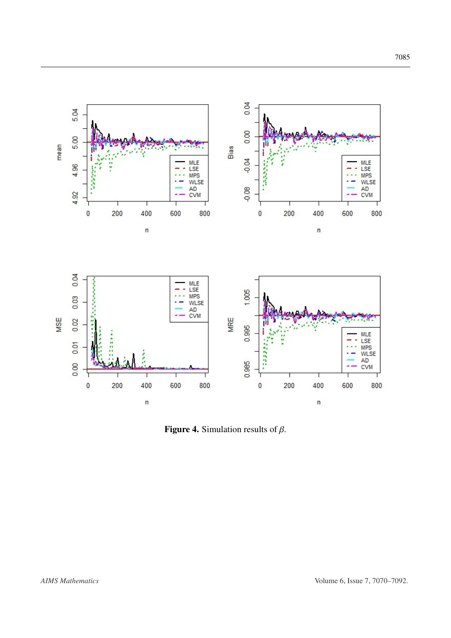

**Figure 4.** Simulation results of  $\beta$ .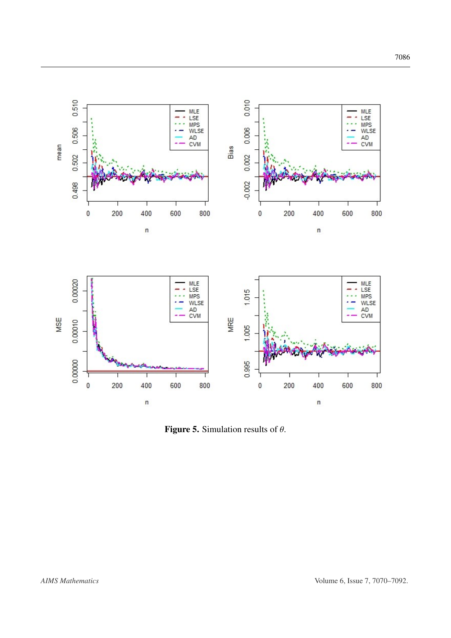



Figure 5. Simulation results of  $\theta$ .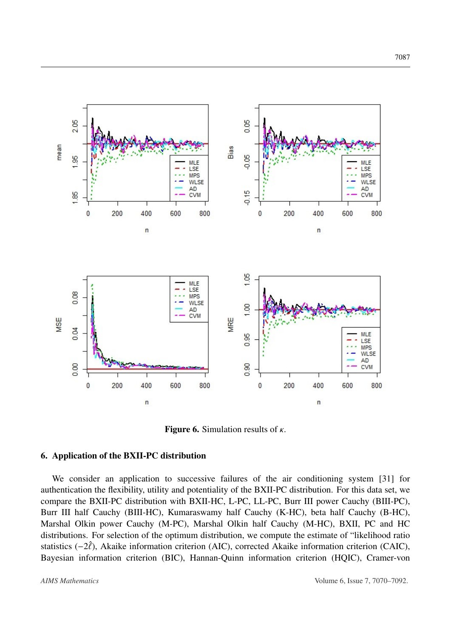<span id="page-18-0"></span>

**Figure 6.** Simulation results of  $\kappa$ .

## 6. Application of the BXII-PC distribution

We consider an application to successive failures of the air conditioning system [\[31\]](#page-23-11) for authentication the flexibility, utility and potentiality of the BXII-PC distribution. For this data set, we compare the BXII-PC distribution with BXII-HC, L-PC, LL-PC, Burr III power Cauchy (BIII-PC), Burr III half Cauchy (BIII-HC), Kumaraswamy half Cauchy (K-HC), beta half Cauchy (B-HC), Marshal Olkin power Cauchy (M-PC), Marshal Olkin half Cauchy (M-HC), BXII, PC and HC distributions. For selection of the optimum distribution, we compute the estimate of "likelihood ratio statistics  $(-2\hat{\ell})$ , Akaike information criterion (AIC), corrected Akaike information criterion (CAIC), Bayesian information criterion (BIC), Hannan-Quinn information criterion (HQIC), Cramer-von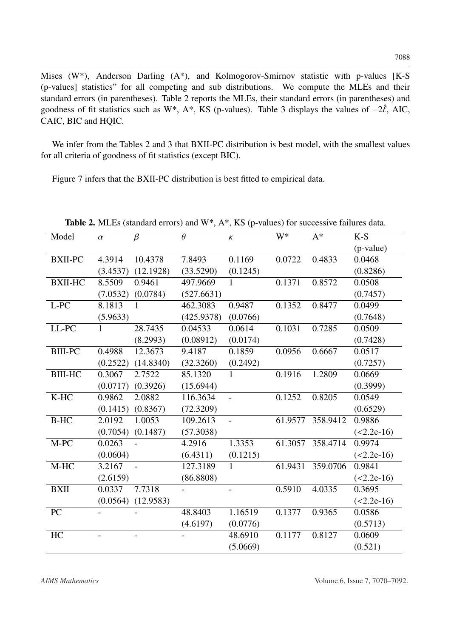Mises (W\*), Anderson Darling (A\*), and Kolmogorov-Smirnov statistic with p-values [K-S (p-values] statistics" for all competing and sub distributions. We compute the MLEs and their standard errors (in parentheses). Table [2](#page-19-0) reports the MLEs, their standard errors (in parentheses) and goodness of fit statistics such as W\*, A\*, KS (p-values). Table [3](#page-20-0) displays the values of  $-2\hat{\ell}$ , AIC, CAIC, BIC and HQIC.

We infer from the Tables [2](#page-19-0) and [3](#page-20-0) that BXII-PC distribution is best model, with the smallest values for all criteria of goodness of fit statistics (except BIC).

Figure [7](#page-20-1) infers that the BXII-PC distribution is best fitted to empirical data.

<span id="page-19-0"></span>

| Model          | $\alpha$ | $\ldots \ldots \ldots$<br>$\beta$ | $\frac{1}{2}$<br>$\theta$ | $\pmb{\mathit{K}}$ | W*      | $A^*$    | $K-S$        |
|----------------|----------|-----------------------------------|---------------------------|--------------------|---------|----------|--------------|
|                |          |                                   |                           |                    |         |          | (p-value)    |
| <b>BXII-PC</b> | 4.3914   | 10.4378                           | 7.8493                    | 0.1169             | 0.0722  | 0.4833   | 0.0468       |
|                | (3.4537) | (12.1928)                         | (33.5290)                 | (0.1245)           |         |          | (0.8286)     |
| <b>BXII-HC</b> | 8.5509   | 0.9461                            | 497.9669                  | 1                  | 0.1371  | 0.8572   | 0.0508       |
|                | (7.0532) | (0.0784)                          | (527.6631)                |                    |         |          | (0.7457)     |
| L-PC           | 8.1813   | 1                                 | 462.3083                  | 0.9487             | 0.1352  | 0.8477   | 0.0499       |
|                | (5.9633) |                                   | (425.9378)                | (0.0766)           |         |          | (0.7648)     |
| LL-PC          | 1        | 28.7435                           | 0.04533                   | 0.0614             | 0.1031  | 0.7285   | 0.0509       |
|                |          | (8.2993)                          | (0.08912)                 | (0.0174)           |         |          | (0.7428)     |
| <b>BIII-PC</b> | 0.4988   | 12.3673                           | 9.4187                    | 0.1859             | 0.0956  | 0.6667   | 0.0517       |
|                | (0.2522) | (14.8340)                         | (32.3260)                 | (0.2492)           |         |          | (0.7257)     |
| <b>BIII-HC</b> | 0.3067   | 2.7522                            | 85.1320                   | $\mathbf{1}$       | 0.1916  | 1.2809   | 0.0669       |
|                | (0.0717) | (0.3926)                          | (15.6944)                 |                    |         |          | (0.3999)     |
| $K-HC$         | 0.9862   | 2.0882                            | 116.3634                  | $\overline{a}$     | 0.1252  | 0.8205   | 0.0549       |
|                | (0.1415) | (0.8367)                          | (72.3209)                 |                    |         |          | (0.6529)     |
| <b>B-HC</b>    | 2.0192   | 1.0053                            | 109.2613                  | $\overline{a}$     | 61.9577 | 358.9412 | 0.9886       |
|                | (0.7054) | (0.1487)                          | (57.3038)                 |                    |         |          | $(<2.2e-16)$ |
| $M-PC$         | 0.0263   |                                   | 4.2916                    | 1.3353             | 61.3057 | 358.4714 | 0.9974       |
|                | (0.0604) |                                   | (6.4311)                  | (0.1215)           |         |          | $(<2.2e-16)$ |
| $M-HC$         | 3.2167   |                                   | 127.3189                  | $\mathbf{1}$       | 61.9431 | 359.0706 | 0.9841       |
|                | (2.6159) |                                   | (86.8808)                 |                    |         |          | $(<2.2e-16)$ |
| <b>BXII</b>    | 0.0337   | 7.7318                            |                           |                    | 0.5910  | 4.0335   | 0.3695       |
|                | (0.0564) | (12.9583)                         |                           |                    |         |          | $(<2.2e-16)$ |
| PC             |          |                                   | 48.8403                   | 1.16519            | 0.1377  | 0.9365   | 0.0586       |
|                |          |                                   | (4.6197)                  | (0.0776)           |         |          | (0.5713)     |
| HC             |          |                                   |                           | 48.6910            | 0.1177  | 0.8127   | 0.0609       |
|                |          |                                   |                           | (5.0669)           |         |          | (0.521)      |

**Table 2.** MLEs (standard errors) and  $W^*$ ,  $A^*$ , KS (p-values) for successive failures data.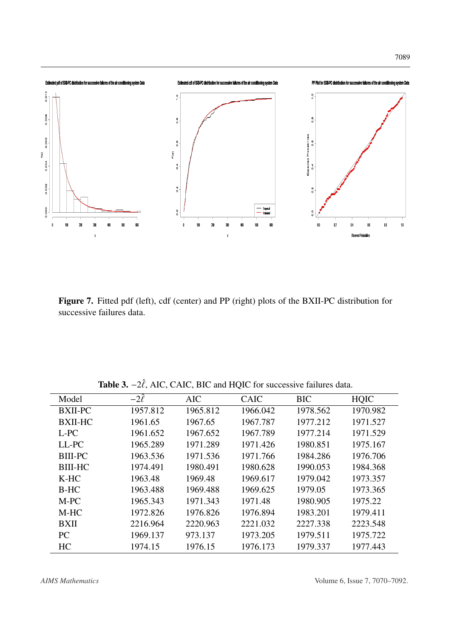<span id="page-20-1"></span>

Figure 7. Fitted pdf (left), cdf (center) and PP (right) plots of the BXII-PC distribution for successive failures data.

Table 3.  $-2\hat{\ell}$ , AIC, CAIC, BIC and HQIC for successive failures data.

<span id="page-20-0"></span>

| Model          | $-2\hat{\ell}$ | <b>AIC</b> | <b>CAIC</b> | <b>BIC</b> | <b>HQIC</b> |
|----------------|----------------|------------|-------------|------------|-------------|
| <b>BXII-PC</b> | 1957.812       | 1965.812   | 1966.042    | 1978.562   | 1970.982    |
| <b>BXII-HC</b> | 1961.65        | 1967.65    | 1967.787    | 1977.212   | 1971.527    |
| L-PC           | 1961.652       | 1967.652   | 1967.789    | 1977.214   | 1971.529    |
| LL-PC          | 1965.289       | 1971.289   | 1971.426    | 1980.851   | 1975.167    |
| <b>BIII-PC</b> | 1963.536       | 1971.536   | 1971.766    | 1984.286   | 1976.706    |
| <b>BIII-HC</b> | 1974.491       | 1980.491   | 1980.628    | 1990.053   | 1984.368    |
| K-HC           | 1963.48        | 1969.48    | 1969.617    | 1979.042   | 1973.357    |
| $B-HC$         | 1963.488       | 1969.488   | 1969.625    | 1979.05    | 1973.365    |
| M-PC           | 1965.343       | 1971.343   | 1971.48     | 1980.905   | 1975.22     |
| M-HC           | 1972.826       | 1976.826   | 1976.894    | 1983.201   | 1979.411    |
| <b>BXII</b>    | 2216.964       | 2220.963   | 2221.032    | 2227.338   | 2223.548    |
| PC.            | 1969.137       | 973.137    | 1973.205    | 1979.511   | 1975.722    |
| HC             | 1974.15        | 1976.15    | 1976.173    | 1979.337   | 1977.443    |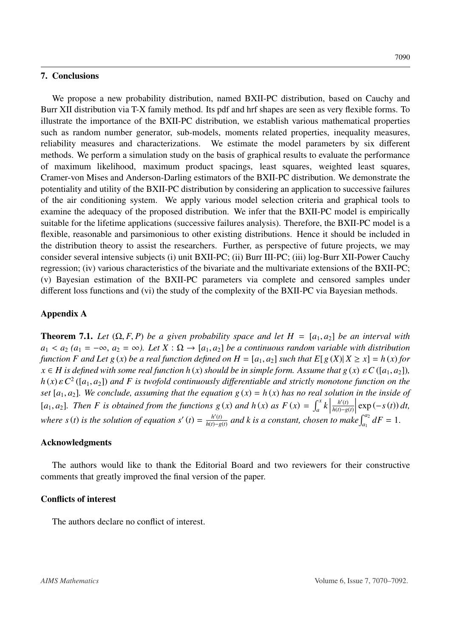#### 7. Conclusions

We propose a new probability distribution, named BXII-PC distribution, based on Cauchy and Burr XII distribution via T-X family method. Its pdf and hrf shapes are seen as very flexible forms. To illustrate the importance of the BXII-PC distribution, we establish various mathematical properties such as random number generator, sub-models, moments related properties, inequality measures, reliability measures and characterizations. We estimate the model parameters by six different methods. We perform a simulation study on the basis of graphical results to evaluate the performance of maximum likelihood, maximum product spacings, least squares, weighted least squares, Cramer-von Mises and Anderson-Darling estimators of the BXII-PC distribution. We demonstrate the potentiality and utility of the BXII-PC distribution by considering an application to successive failures of the air conditioning system. We apply various model selection criteria and graphical tools to examine the adequacy of the proposed distribution. We infer that the BXII-PC model is empirically suitable for the lifetime applications (successive failures analysis). Therefore, the BXII-PC model is a flexible, reasonable and parsimonious to other existing distributions. Hence it should be included in the distribution theory to assist the researchers. Further, as perspective of future projects, we may consider several intensive subjects (i) unit BXII-PC; (ii) Burr III-PC; (iii) log-Burr XII-Power Cauchy regression; (iv) various characteristics of the bivariate and the multivariate extensions of the BXII-PC; (v) Bayesian estimation of the BXII-PC parameters via complete and censored samples under different loss functions and (vi) the study of the complexity of the BXII-PC via Bayesian methods.

# Appendix A

<span id="page-21-0"></span>**Theorem 7.1.** *Let*  $(\Omega, F, P)$  *be a given probability space and let*  $H = [a_1, a_2]$  *be an interval with*  $a_1 < a_2$  ( $a_1 = -\infty$ ,  $a_2 = \infty$ ). Let  $X : \Omega \to [a_1, a_2]$  be a continuous random variable with distribution *function F and Let g (x) be a real function defined on*  $H = [a_1, a_2]$  *<i>such that*  $E[g(X)|X \ge x] = h(x)$  *for*  $x \in H$  *is defined with some real function h*(*x*) *should be in simple form. Assume that*  $g(x) \in C([a_1, a_2])$ ,  $h(x) \varepsilon C^2$  ([*a*<sub>1</sub>, *a*<sub>2</sub>]) *and F is twofold continuously differentiable and strictly monotone function on the*<br>set [*a*<sub>1</sub>, *a*<sub>2</sub>]. We conclude, assuming that the equation  $g(x) = h(x)$  has no real solution in the insi *set*  $[a_1, a_2]$ *. We conclude, assuming that the equation*  $g(x) = h(x)$  *has no real solution in the inside of* [*a*<sub>1</sub>, *a*<sub>2</sub>]. Then *F* is obtained from the functions  $g(x)$  and  $h(x)$  as  $F(x) = \int_a^x k \Big|$  $h'(t)$ *h*(*t*)−*g*(*t*)  $\left| \exp\left(-s\left(t\right)\right) dt, \right|$ where  $s(t)$  *is the solution of equation s'*  $(t) = \frac{h'(t)}{h(t)-\sigma}$  $\frac{h'(t)}{h(t)-g(t)}$  and k is a constant, chosen to make  $\int_{a_1}^{a_2} dF = 1$ .

# Acknowledgments

The authors would like to thank the Editorial Board and two reviewers for their constructive comments that greatly improved the final version of the paper.

### Conflicts of interest

The authors declare no conflict of interest.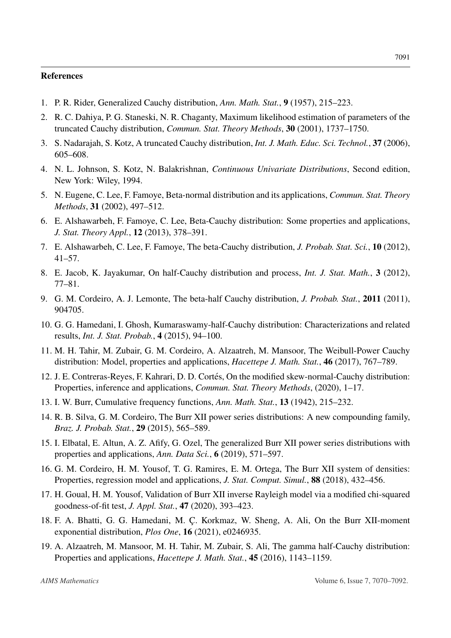#### References

- <span id="page-22-0"></span>1. P. R. Rider, Generalized Cauchy distribution, *Ann. Math. Stat.*, 9 (1957), 215–223.
- <span id="page-22-1"></span>2. R. C. Dahiya, P. G. Staneski, N. R. Chaganty, Maximum likelihood estimation of parameters of the truncated Cauchy distribution, *Commun. Stat. Theory Methods*, 30 (2001), 1737–1750.
- 3. S. Nadarajah, S. Kotz, A truncated Cauchy distribution, *Int. J. Math. Educ. Sci. Technol.*, 37 (2006), 605–608.
- <span id="page-22-2"></span>4. N. L. Johnson, S. Kotz, N. Balakrishnan, *Continuous Univariate Distributions*, Second edition, New York: Wiley, 1994.
- <span id="page-22-3"></span>5. N. Eugene, C. Lee, F. Famoye, Beta-normal distribution and its applications, *Commun. Stat. Theory Methods*, 31 (2002), 497–512.
- 6. E. Alshawarbeh, F. Famoye, C. Lee, Beta-Cauchy distribution: Some properties and applications, *J. Stat. Theory Appl.*, 12 (2013), 378–391.
- <span id="page-22-4"></span>7. E. Alshawarbeh, C. Lee, F. Famoye, The beta-Cauchy distribution, *J. Probab. Stat. Sci.*, 10 (2012), 41–57.
- <span id="page-22-5"></span>8. E. Jacob, K. Jayakumar, On half-Cauchy distribution and process, *Int. J. Stat. Math.*, 3 (2012), 77–81.
- <span id="page-22-6"></span>9. G. M. Cordeiro, A. J. Lemonte, The beta-half Cauchy distribution, *J. Probab. Stat.*, 2011 (2011), 904705.
- <span id="page-22-7"></span>10. G. G. Hamedani, I. Ghosh, Kumaraswamy-half-Cauchy distribution: Characterizations and related results, *Int. J. Stat. Probab.*, 4 (2015), 94–100.
- <span id="page-22-8"></span>11. M. H. Tahir, M. Zubair, G. M. Cordeiro, A. Alzaatreh, M. Mansoor, The Weibull-Power Cauchy distribution: Model, properties and applications, *Hacettepe J. Math. Stat.*, 46 (2017), 767–789.
- <span id="page-22-9"></span>12. J. E. Contreras-Reyes, F. Kahrari, D. D. Cortés, On the modified skew-normal-Cauchy distribution: Properties, inference and applications, *Commun. Stat. Theory Methods*, (2020), 1–17.
- <span id="page-22-10"></span>13. I. W. Burr, Cumulative frequency functions, *Ann. Math. Stat.*, 13 (1942), 215–232.
- <span id="page-22-11"></span>14. R. B. Silva, G. M. Cordeiro, The Burr XII power series distributions: A new compounding family, *Braz. J. Probab. Stat.*, 29 (2015), 565–589.
- <span id="page-22-12"></span>15. I. Elbatal, E. Altun, A. Z. Afify, G. Ozel, The generalized Burr XII power series distributions with properties and applications, *Ann. Data Sci.*, 6 (2019), 571–597.
- <span id="page-22-13"></span>16. G. M. Cordeiro, H. M. Yousof, T. G. Ramires, E. M. Ortega, The Burr XII system of densities: Properties, regression model and applications, *J. Stat. Comput. Simul.*, 88 (2018), 432–456.
- <span id="page-22-14"></span>17. H. Goual, H. M. Yousof, Validation of Burr XII inverse Rayleigh model via a modified chi-squared goodness-of-fit test, *J. Appl. Stat.*, 47 (2020), 393–423.
- <span id="page-22-15"></span>18. F. A. Bhatti, G. G. Hamedani, M. C. Korkmaz, W. Sheng, A. Ali, On the Burr XII-moment exponential distribution, *Plos One*, 16 (2021), e0246935.
- <span id="page-22-16"></span>19. A. Alzaatreh, M. Mansoor, M. H. Tahir, M. Zubair, S. Ali, The gamma half-Cauchy distribution: Properties and applications, *Hacettepe J. Math. Stat.*, 45 (2016), 1143–1159.